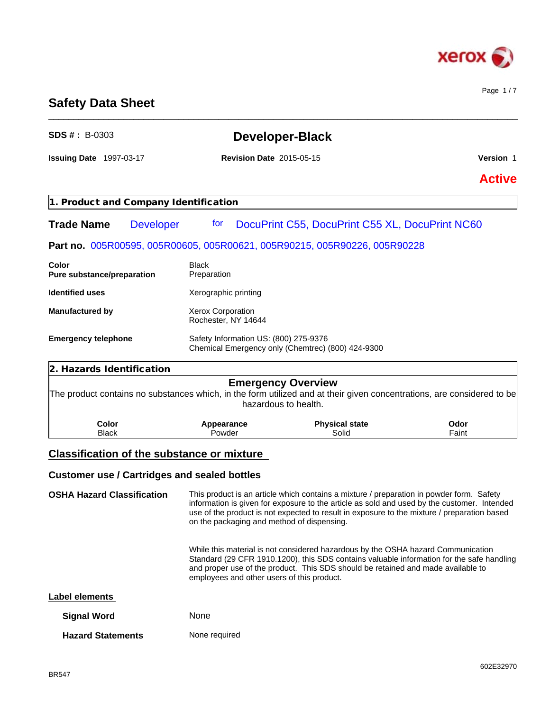

Page 1 / 7

# **Safety Data Sheet**

| $SDS#: B-0303$                             |                  |                                                                                            | <b>Developer-Black</b>                                                                                                                                                                                                                                                                 |               |  |
|--------------------------------------------|------------------|--------------------------------------------------------------------------------------------|----------------------------------------------------------------------------------------------------------------------------------------------------------------------------------------------------------------------------------------------------------------------------------------|---------------|--|
| <b>Issuing Date</b> 1997-03-17             |                  | <b>Revision Date 2015-05-15</b>                                                            |                                                                                                                                                                                                                                                                                        | Version 1     |  |
|                                            |                  |                                                                                            |                                                                                                                                                                                                                                                                                        | <b>Active</b> |  |
| 1. Product and Company Identification      |                  |                                                                                            |                                                                                                                                                                                                                                                                                        |               |  |
| <b>Trade Name</b>                          | <b>Developer</b> | tor                                                                                        | DocuPrint C55, DocuPrint C55 XL, DocuPrint NC60                                                                                                                                                                                                                                        |               |  |
|                                            |                  |                                                                                            | Part no. 005R00595, 005R00605, 005R00621, 005R90215, 005R90226, 005R90228                                                                                                                                                                                                              |               |  |
| Color<br><b>Pure substance/preparation</b> |                  | <b>Black</b><br>Preparation                                                                |                                                                                                                                                                                                                                                                                        |               |  |
| <b>Identified uses</b>                     |                  | Xerographic printing                                                                       |                                                                                                                                                                                                                                                                                        |               |  |
| <b>Manufactured by</b>                     |                  | <b>Xerox Corporation</b><br>Rochester, NY 14644                                            |                                                                                                                                                                                                                                                                                        |               |  |
| <b>Emergency telephone</b>                 |                  | Safety Information US: (800) 275-9376<br>Chemical Emergency only (Chemtrec) (800) 424-9300 |                                                                                                                                                                                                                                                                                        |               |  |
| 2. Hazards Identification                  |                  |                                                                                            |                                                                                                                                                                                                                                                                                        |               |  |
|                                            |                  |                                                                                            | <b>Emergency Overview</b><br>The product contains no substances which, in the form utilized and at their given concentrations, are considered to be<br>hazardous to health.                                                                                                            |               |  |
| Color<br><b>Black</b>                      |                  | Appearance<br>Powder                                                                       | <b>Physical state</b><br>Solid                                                                                                                                                                                                                                                         | Odor<br>Faint |  |
|                                            |                  | <b>Classification of the substance or mixture</b>                                          |                                                                                                                                                                                                                                                                                        |               |  |
|                                            |                  | <b>Customer use / Cartridges and sealed bottles</b>                                        |                                                                                                                                                                                                                                                                                        |               |  |
| <b>OSHA Hazard Classification</b>          |                  | on the packaging and method of dispensing.                                                 | This product is an article which contains a mixture / preparation in powder form. Safety<br>information is given for exposure to the article as sold and used by the customer. Intended<br>use of the product is not expected to result in exposure to the mixture / preparation based |               |  |
|                                            |                  | employees and other users of this product.                                                 | While this material is not considered hazardous by the OSHA hazard Communication<br>Standard (29 CFR 1910.1200), this SDS contains valuable information for the safe handling<br>and proper use of the product. This SDS should be retained and made available to                      |               |  |

\_\_\_\_\_\_\_\_\_\_\_\_\_\_\_\_\_\_\_\_\_\_\_\_\_\_\_\_\_\_\_\_\_\_\_\_\_\_\_\_\_\_\_\_\_\_\_\_\_\_\_\_\_\_\_\_\_\_\_\_\_\_\_\_\_\_\_\_\_\_\_\_\_\_\_\_\_\_\_\_\_\_\_\_\_\_\_\_\_\_\_\_\_\_

| Label elements |
|----------------|
|----------------|

| <b>Signal Word</b>       | <b>None</b>   |
|--------------------------|---------------|
| <b>Hazard Statements</b> | None required |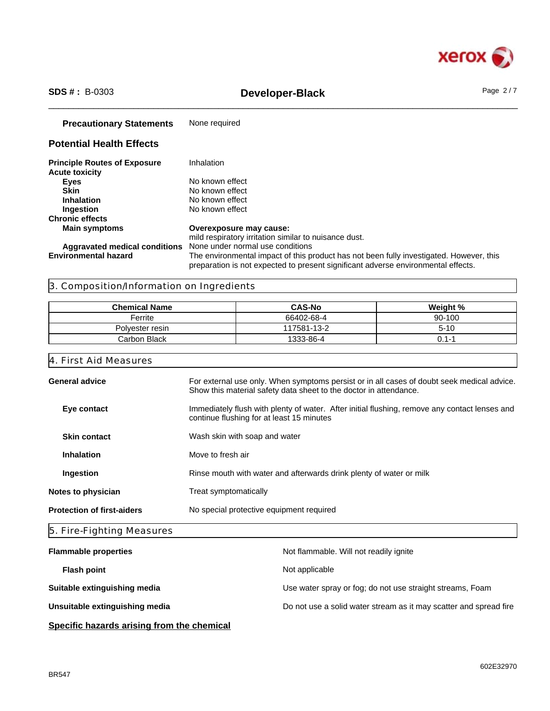

# \_\_\_\_\_\_\_\_\_\_\_\_\_\_\_\_\_\_\_\_\_\_\_\_\_\_\_\_\_\_\_\_\_\_\_\_\_\_\_\_\_\_\_\_\_\_\_\_\_\_\_\_\_\_\_\_\_\_\_\_\_\_\_\_\_\_\_\_\_\_\_\_\_\_\_\_\_\_\_\_\_\_\_\_\_\_\_\_\_\_\_\_\_\_ **SDS # :** B-0303 **Developer-Black** Page 2 / 7

| <b>Precautionary Statements</b>                              | None required                                                                                                                                                                |
|--------------------------------------------------------------|------------------------------------------------------------------------------------------------------------------------------------------------------------------------------|
| <b>Potential Health Effects</b>                              |                                                                                                                                                                              |
| <b>Principle Routes of Exposure</b><br><b>Acute toxicity</b> | Inhalation                                                                                                                                                                   |
| <b>Eyes</b>                                                  | No known effect                                                                                                                                                              |
| <b>Skin</b>                                                  | No known effect                                                                                                                                                              |
| <b>Inhalation</b>                                            | No known effect                                                                                                                                                              |
| Ingestion                                                    | No known effect                                                                                                                                                              |
| <b>Chronic effects</b>                                       |                                                                                                                                                                              |
| <b>Main symptoms</b>                                         | Overexposure may cause:                                                                                                                                                      |
|                                                              | mild respiratory irritation similar to nuisance dust.                                                                                                                        |
| Aggravated medical conditions                                | None under normal use conditions                                                                                                                                             |
| <b>Environmental hazard</b>                                  | The environmental impact of this product has not been fully investigated. However, this<br>preparation is not expected to present significant adverse environmental effects. |

# 3. Composition/Information on Ingredients

| <b>Chemical Name</b> | <b>CAS-No</b> | Weight % |
|----------------------|---------------|----------|
| Ferrite              | 66402-68-4    | 90-100   |
| Polvester resin      | 117581-13-2   | $5 - 10$ |
| Carbon Black         | 1333-86-4     | 1-1 (    |

# 4. First Aid Measures

| <b>General advice</b>             | For external use only. When symptoms persist or in all cases of doubt seek medical advice.                                                 |
|-----------------------------------|--------------------------------------------------------------------------------------------------------------------------------------------|
|                                   | Show this material safety data sheet to the doctor in attendance.                                                                          |
| Eye contact                       | Immediately flush with plenty of water. After initial flushing, remove any contact lenses and<br>continue flushing for at least 15 minutes |
| <b>Skin contact</b>               | Wash skin with soap and water                                                                                                              |
| <b>Inhalation</b>                 | Move to fresh air                                                                                                                          |
| Ingestion                         | Rinse mouth with water and afterwards drink plenty of water or milk                                                                        |
| Notes to physician                | Treat symptomatically                                                                                                                      |
| <b>Protection of first-aiders</b> | No special protective equipment required                                                                                                   |
|                                   |                                                                                                                                            |

# 5. Fire-Fighting Measures

| <b>Flammable properties</b>    | Not flammable. Will not readily ignite                            |
|--------------------------------|-------------------------------------------------------------------|
| <b>Flash point</b>             | Not applicable                                                    |
| Suitable extinguishing media   | Use water spray or fog; do not use straight streams, Foam         |
| Unsuitable extinguishing media | Do not use a solid water stream as it may scatter and spread fire |
|                                |                                                                   |

# **Specific hazards arising from the chemical**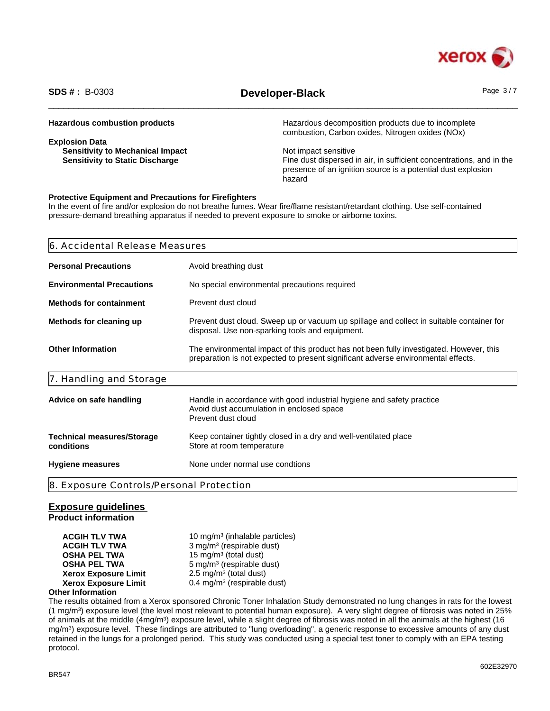

# \_\_\_\_\_\_\_\_\_\_\_\_\_\_\_\_\_\_\_\_\_\_\_\_\_\_\_\_\_\_\_\_\_\_\_\_\_\_\_\_\_\_\_\_\_\_\_\_\_\_\_\_\_\_\_\_\_\_\_\_\_\_\_\_\_\_\_\_\_\_\_\_\_\_\_\_\_\_\_\_\_\_\_\_\_\_\_\_\_\_\_\_\_\_ **SDS # :** B-0303 **Developer-Black** Page 3 / 7

| <b>Hazardous combustion products</b>    | Hazardous decomposition products due to incomplete<br>combustion, Carbon oxides, Nitrogen oxides (NOx) |
|-----------------------------------------|--------------------------------------------------------------------------------------------------------|
| <b>Explosion Data</b>                   |                                                                                                        |
| <b>Sensitivity to Mechanical Impact</b> | Not impact sensitive                                                                                   |
| <b>Sensitivity to Static Discharge</b>  | Fine dust dispersed in air, in sufficient concentrations, and in the                                   |
|                                         | presence of an ignition source is a potential dust explosion                                           |
|                                         | hazard                                                                                                 |

## **Protective Equipment and Precautions for Firefighters**

In the event of fire and/or explosion do not breathe fumes. Wear fire/flame resistant/retardant clothing. Use self-contained pressure-demand breathing apparatus if needed to prevent exposure to smoke or airborne toxins.

| <b>Personal Precautions</b><br>Avoid breathing dust<br><b>Environmental Precautions</b><br>No special environmental precautions required<br>Prevent dust cloud<br>Prevent dust cloud. Sweep up or vacuum up spillage and collect in suitable container for |
|------------------------------------------------------------------------------------------------------------------------------------------------------------------------------------------------------------------------------------------------------------|
| <b>Methods for containment</b><br>Methods for cleaning up                                                                                                                                                                                                  |
|                                                                                                                                                                                                                                                            |
|                                                                                                                                                                                                                                                            |
| disposal. Use non-sparking tools and equipment.                                                                                                                                                                                                            |
| <b>Other Information</b><br>The environmental impact of this product has not been fully investigated. However, this<br>preparation is not expected to present significant adverse environmental effects.                                                   |
| 7. Handling and Storage                                                                                                                                                                                                                                    |
| Handle in accordance with good industrial hygiene and safety practice<br>Advice on safe handling<br>Avoid dust accumulation in enclosed space<br>Prevent dust cloud                                                                                        |
| Keep container tightly closed in a dry and well-ventilated place<br><b>Technical measures/Storage</b><br>conditions<br>Store at room temperature                                                                                                           |
| None under normal use condtions<br><b>Hygiene measures</b>                                                                                                                                                                                                 |
| 8. Exposure Controls/Personal Protection                                                                                                                                                                                                                   |

## **Exposure guidelines**

**Product information**

**ACGIH TLV TWA** 10 mg/m<sup>3</sup> (inhalable particles) **ACGIH TLV TWA** 3 mg/m<sup>3</sup> (respirable dust) **OSHA PEL TWA** 15 mg/m<sup>3</sup> (total dust) **OSHA PEL TWA** 5 mg/m<sup>3</sup> (respirable dust) **Xerox Exposure Limit**  $2.5 \text{ mg/m}^3$  (total dust) **Xerox Exposure Limit** 0.4 mg/m<sup>3</sup> (respirable dust)

# **Other Information**

The results obtained from a Xerox sponsored Chronic Toner Inhalation Study demonstrated no lung changes in rats for the lowest (1 mg/m<sup>3</sup> ) exposure level (the level most relevant to potential human exposure). A very slight degree of fibrosis was noted in 25% of animals at the middle (4mg/m<sup>3</sup>) exposure level, while a slight degree of fibrosis was noted in all the animals at the highest (16 mg/m<sup>3</sup> ) exposure level. These findings are attributed to "lung overloading", a generic response to excessive amounts of any dust retained in the lungs for a prolonged period. This study was conducted using a special test toner to comply with an EPA testing protocol.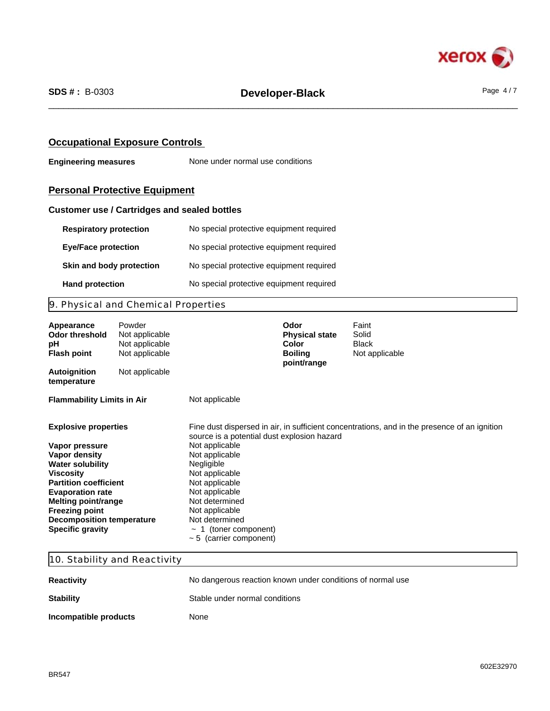

# **Occupational Exposure Controls**

**Engineering measures** None under normal use conditions

# **Personal Protective Equipment**

# **Customer use / Cartridges and sealed bottles**

| <b>Respiratory protection</b> | No special protective equipment required |
|-------------------------------|------------------------------------------|
| <b>Eye/Face protection</b>    | No special protective equipment required |
| Skin and body protection      | No special protective equipment required |
| <b>Hand protection</b>        | No special protective equipment required |

# 9. Physical and Chemical Properties

| Appearance<br>Odor threshold<br>рH<br><b>Flash point</b>                                                                                                                                                                                                                         | Powder<br>Not applicable<br>Not applicable<br>Not applicable |                                                                                                                                                                                                                                                                    | Odor<br><b>Physical state</b><br>Color<br><b>Boiling</b><br>point/range | Faint<br>Solid<br><b>Black</b><br>Not applicable                                             |
|----------------------------------------------------------------------------------------------------------------------------------------------------------------------------------------------------------------------------------------------------------------------------------|--------------------------------------------------------------|--------------------------------------------------------------------------------------------------------------------------------------------------------------------------------------------------------------------------------------------------------------------|-------------------------------------------------------------------------|----------------------------------------------------------------------------------------------|
| <b>Autoignition</b><br>temperature                                                                                                                                                                                                                                               | Not applicable                                               |                                                                                                                                                                                                                                                                    |                                                                         |                                                                                              |
| <b>Flammability Limits in Air</b>                                                                                                                                                                                                                                                |                                                              | Not applicable                                                                                                                                                                                                                                                     |                                                                         |                                                                                              |
| <b>Explosive properties</b><br>Vapor pressure<br>Vapor density<br><b>Water solubility</b><br>Viscosity<br><b>Partition coefficient</b><br><b>Evaporation rate</b><br>Melting point/range<br><b>Freezing point</b><br><b>Decomposition temperature</b><br><b>Specific gravity</b> |                                                              | source is a potential dust explosion hazard<br>Not applicable<br>Not applicable<br>Negligible<br>Not applicable<br>Not applicable<br>Not applicable<br>Not determined<br>Not applicable<br>Not determined<br>$\sim$ 1 (toner component)<br>~ 5 (carrier component) |                                                                         | Fine dust dispersed in air, in sufficient concentrations, and in the presence of an ignition |

# 10. Stability and Reactivity

| <b>Reactivity</b>     | No dangerous reaction known under conditions of normal use |
|-----------------------|------------------------------------------------------------|
| <b>Stability</b>      | Stable under normal conditions                             |
| Incompatible products | None                                                       |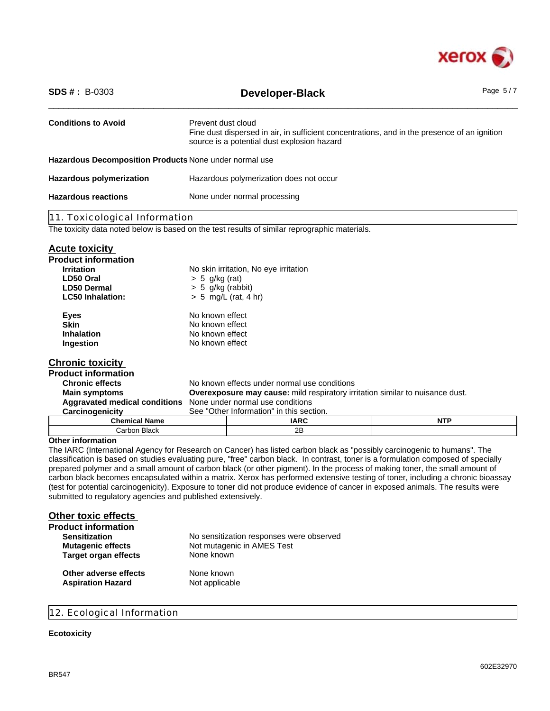

| <b>Conditions to Avoid</b><br>Prevent dust cloud<br>source is a potential dust explosion hazard<br>Hazardous Decomposition Products None under normal use<br><b>Hazardous polymerization</b><br>Hazardous polymerization does not occur<br><b>Hazardous reactions</b><br>None under normal processing<br>11. Toxicological Information<br>The toxicity data noted below is based on the test results of similar reprographic materials.<br><b>Acute toxicity</b><br><b>Product information</b><br><b>Irritation</b><br>No skin irritation, No eye irritation<br>$> 5$ g/kg (rat)<br>LD50 Oral<br><b>LD50 Dermal</b><br>$> 5$ g/kg (rabbit)<br>$> 5$ mg/L (rat, 4 hr)<br><b>LC50 Inhalation:</b><br>No known effect<br><b>Eyes</b><br><b>Skin</b><br>No known effect<br>No known effect<br><b>Inhalation</b><br>Ingestion<br>No known effect<br><b>Chronic toxicity</b><br><b>Product information</b><br><b>Chronic effects</b><br>No known effects under normal use conditions | $SDS # : B-0303$ | <b>Developer-Black</b>                                                                       | Page $5/7$ |  |
|--------------------------------------------------------------------------------------------------------------------------------------------------------------------------------------------------------------------------------------------------------------------------------------------------------------------------------------------------------------------------------------------------------------------------------------------------------------------------------------------------------------------------------------------------------------------------------------------------------------------------------------------------------------------------------------------------------------------------------------------------------------------------------------------------------------------------------------------------------------------------------------------------------------------------------------------------------------------------------|------------------|----------------------------------------------------------------------------------------------|------------|--|
|                                                                                                                                                                                                                                                                                                                                                                                                                                                                                                                                                                                                                                                                                                                                                                                                                                                                                                                                                                                |                  | Fine dust dispersed in air, in sufficient concentrations, and in the presence of an ignition |            |  |
|                                                                                                                                                                                                                                                                                                                                                                                                                                                                                                                                                                                                                                                                                                                                                                                                                                                                                                                                                                                |                  |                                                                                              |            |  |
|                                                                                                                                                                                                                                                                                                                                                                                                                                                                                                                                                                                                                                                                                                                                                                                                                                                                                                                                                                                |                  |                                                                                              |            |  |
|                                                                                                                                                                                                                                                                                                                                                                                                                                                                                                                                                                                                                                                                                                                                                                                                                                                                                                                                                                                |                  |                                                                                              |            |  |
|                                                                                                                                                                                                                                                                                                                                                                                                                                                                                                                                                                                                                                                                                                                                                                                                                                                                                                                                                                                |                  |                                                                                              |            |  |
|                                                                                                                                                                                                                                                                                                                                                                                                                                                                                                                                                                                                                                                                                                                                                                                                                                                                                                                                                                                |                  |                                                                                              |            |  |
|                                                                                                                                                                                                                                                                                                                                                                                                                                                                                                                                                                                                                                                                                                                                                                                                                                                                                                                                                                                |                  |                                                                                              |            |  |
| <b>Main symptoms</b><br><b>Overexposure may cause:</b> mild respiratory irritation similar to nuisance dust.<br>None under normal use conditions<br><b>Aggravated medical conditions</b><br>See "Other Information" in this section.<br>Carcinogenicity                                                                                                                                                                                                                                                                                                                                                                                                                                                                                                                                                                                                                                                                                                                        |                  |                                                                                              |            |  |
| <b>NTP</b><br><b>Chemical Name</b><br><b>IARC</b>                                                                                                                                                                                                                                                                                                                                                                                                                                                                                                                                                                                                                                                                                                                                                                                                                                                                                                                              |                  |                                                                                              |            |  |
| 2B<br>Carbon Black<br><b>Other information</b>                                                                                                                                                                                                                                                                                                                                                                                                                                                                                                                                                                                                                                                                                                                                                                                                                                                                                                                                 |                  |                                                                                              |            |  |

The IARC (International Agency for Research on Cancer) has listed carbon black as "possibly carcinogenic to humans". The classification is based on studies evaluating pure, "free" carbon black. In contrast, toner is a formulation composed of specially prepared polymer and a small amount of carbon black (or other pigment). In the process of making toner, the small amount of carbon black becomes encapsulated within a matrix. Xerox has performed extensive testing of toner, including a chronic bioassay (test for potential carcinogenicity). Exposure to toner did not produce evidence of cancer in exposed animals. The results were submitted to regulatory agencies and published extensively.

| <b>Other toxic effects</b>  |                                          |
|-----------------------------|------------------------------------------|
| <b>Product information</b>  |                                          |
| <b>Sensitization</b>        | No sensitization responses were observed |
| <b>Mutagenic effects</b>    | Not mutagenic in AMES Test               |
| <b>Target organ effects</b> | None known                               |
| Other adverse effects       | None known                               |
| <b>Aspiration Hazard</b>    | Not applicable                           |

# 12. Ecological Information

# **Ecotoxicity**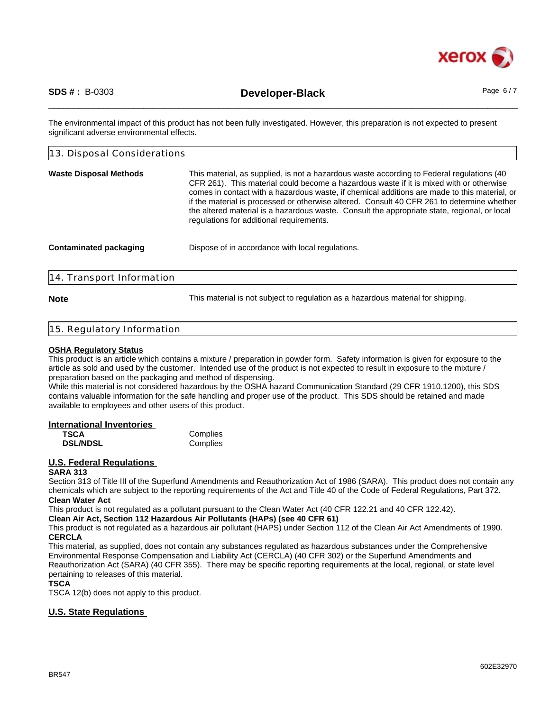

\_\_\_\_\_\_\_\_\_\_\_\_\_\_\_\_\_\_\_\_\_\_\_\_\_\_\_\_\_\_\_\_\_\_\_\_\_\_\_\_\_\_\_\_\_\_\_\_\_\_\_\_\_\_\_\_\_\_\_\_\_\_\_\_\_\_\_\_\_\_\_\_\_\_\_\_\_\_\_\_\_\_\_\_\_\_\_\_\_\_\_\_\_\_ **SDS # :** B-0303 **Developer-Black** Page 6 / 7

The environmental impact of this product has not been fully investigated. However, this preparation is not expected to present significant adverse environmental effects.

| 13. Disposal Considerations   |                                                                                                                                                                                                                                                                                                                                                                                                                                                                                                                                |
|-------------------------------|--------------------------------------------------------------------------------------------------------------------------------------------------------------------------------------------------------------------------------------------------------------------------------------------------------------------------------------------------------------------------------------------------------------------------------------------------------------------------------------------------------------------------------|
| <b>Waste Disposal Methods</b> | This material, as supplied, is not a hazardous waste according to Federal regulations (40<br>CFR 261). This material could become a hazardous waste if it is mixed with or otherwise<br>comes in contact with a hazardous waste, if chemical additions are made to this material, or<br>if the material is processed or otherwise altered. Consult 40 CFR 261 to determine whether<br>the altered material is a hazardous waste. Consult the appropriate state, regional, or local<br>regulations for additional requirements. |
| <b>Contaminated packaging</b> | Dispose of in accordance with local regulations.                                                                                                                                                                                                                                                                                                                                                                                                                                                                               |
| 14. Transport Information     |                                                                                                                                                                                                                                                                                                                                                                                                                                                                                                                                |

**Note** This material is not subject to regulation as a hazardous material for shipping.

## 15. Regulatory Information

### **OSHA Regulatory Status**

This product is an article which contains a mixture / preparation in powder form. Safety information is given for exposure to the article as sold and used by the customer. Intended use of the product is not expected to result in exposure to the mixture / preparation based on the packaging and method of dispensing.

While this material is not considered hazardous by the OSHA hazard Communication Standard (29 CFR 1910.1200), this SDS contains valuable information for the safe handling and proper use of the product. This SDS should be retained and made available to employees and other users of this product.

## **International Inventories**

| <b>TSCA</b>     | Complies |
|-----------------|----------|
| <b>DSL/NDSL</b> | Complies |

# **U.S. Federal Regulations**

### **SARA 313**

Section 313 of Title III of the Superfund Amendments and Reauthorization Act of 1986 (SARA). This product does not contain any chemicals which are subject to the reporting requirements of the Act and Title 40 of the Code of Federal Regulations, Part 372. **Clean Water Act**

This product is not regulated as a pollutant pursuant to the Clean Water Act (40 CFR 122.21 and 40 CFR 122.42).

**Clean Air Act, Section 112 Hazardous Air Pollutants (HAPs) (see 40 CFR 61)**

This product is not regulated as a hazardous air pollutant (HAPS) under Section 112 of the Clean Air Act Amendments of 1990. **CERCLA**

This material, as supplied, does not contain any substances regulated as hazardous substances under the Comprehensive Environmental Response Compensation and Liability Act (CERCLA) (40 CFR 302) or the Superfund Amendments and Reauthorization Act (SARA) (40 CFR 355). There may be specific reporting requirements at the local, regional, or state level pertaining to releases of this material.

## **TSCA**

TSCA 12(b) does not apply to this product.

# **U.S. State Regulations**